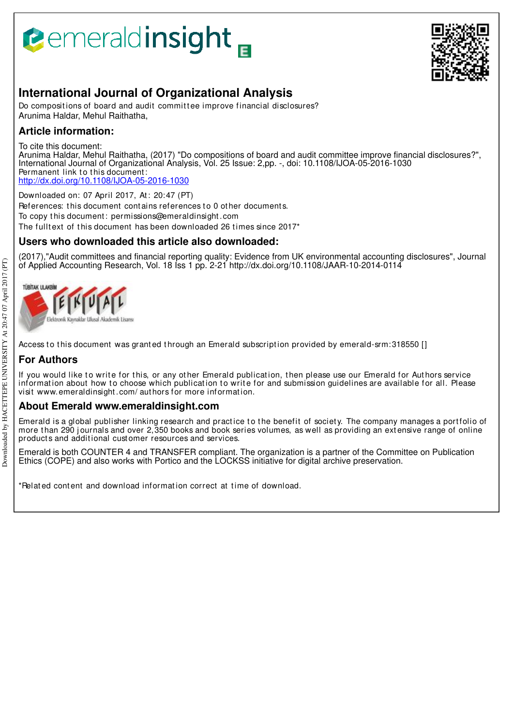# **B**emeraldinsight



## **International Journal of Organizational Analysis**

Do compositions of board and audit committee improve financial disclosures? Arunima Haldar, Mehul Raithatha,

## **Article information:**

To cite this document:

Arunima Haldar, Mehul Raithatha, (2017) "Do compositions of board and audit committee improve financial disclosures?", International Journal of Organizational Analysis, Vol. 25 Issue: 2,pp. -, doi: 10.1108/IJOA-05-2016-1030 Permanent link to this document: http://dx.doi.org/10.1108/IJOA-05-2016-1030

Downloaded on: 07 April 2017, At : 20:47 (PT) References: this document contains references to 0 other documents. To copy t his document : permissions@emeraldinsight .com The fulltext of this document has been downloaded 26 times since  $2017*$ 

## **Users who downloaded this article also downloaded:**

(2017),"Audit committees and financial reporting quality: Evidence from UK environmental accounting disclosures", Journal of Applied Accounting Research, Vol. 18 Iss 1 pp. 2-21 http://dx.doi.org/10.1108/JAAR-10-2014-0114



Access to this document was granted through an Emerald subscription provided by emerald-srm:318550 []

## **For Authors**

If you would like to write for this, or any other Emerald publication, then please use our Emerald for Authors service information about how to choose which publication to write for and submission guidelines are available for all. Please visit www.emeraldinsight .com/ aut hors for more informat ion.

## **About Emerald www.emeraldinsight.com**

Emerald is a global publisher linking research and practice to the benefit of society. The company manages a portfolio of more than 290 journals and over 2,350 books and book series volumes, as well as providing an extensive range of online product s and addit ional cust omer resources and services.

Emerald is both COUNTER 4 and TRANSFER compliant. The organization is a partner of the Committee on Publication Ethics (COPE) and also works with Portico and the LOCKSS initiative for digital archive preservation.

\*Relat ed cont ent and download informat ion correct at t ime of download.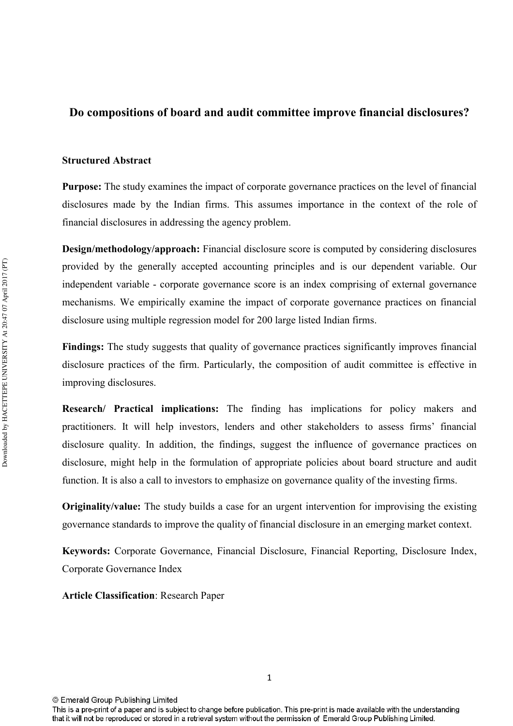## Do compositions of board and audit committee improve financial disclosures?

#### **Structured Abstract**

Purpose: The study examines the impact of corporate governance practices on the level of financial disclosures made by the Indian firms. This assumes importance in the context of the role of financial disclosures in addressing the agency problem.

**Design/methodology/approach:** Financial disclosure score is computed by considering disclosures provided by the generally accepted accounting principles and is our dependent variable. Our independent variable - corporate governance score is an index comprising of external governance mechanisms. We empirically examine the impact of corporate governance practices on financial disclosure using multiple regression model for 200 large listed Indian firms.

**Findings:** The study suggests that quality of governance practices significantly improves financial disclosure practices of the firm. Particularly, the composition of audit committee is effective in improving disclosures.

**Research/ Practical implications:** The finding has implications for policy makers and practitioners. It will help investors, lenders and other stakeholders to assess firms' financial disclosure quality. In addition, the findings, suggest the influence of governance practices on disclosure, might help in the formulation of appropriate policies about board structure and audit function. It is also a call to investors to emphasize on governance quality of the investing firms.

**Originality/value:** The study builds a case for an urgent intervention for improvising the existing governance standards to improve the quality of financial disclosure in an emerging market context.

Keywords: Corporate Governance, Financial Disclosure, Financial Reporting, Disclosure Index, Corporate Governance Index

**Article Classification: Research Paper** 

<sup>©</sup> Emerald Group Publishing Limited

This is a pre-print of a paper and is subject to change before publication. This pre-print is made available with the understanding that it will not be reproduced or stored in a retrieval system without the permission of Emerald Group Publishing Limited.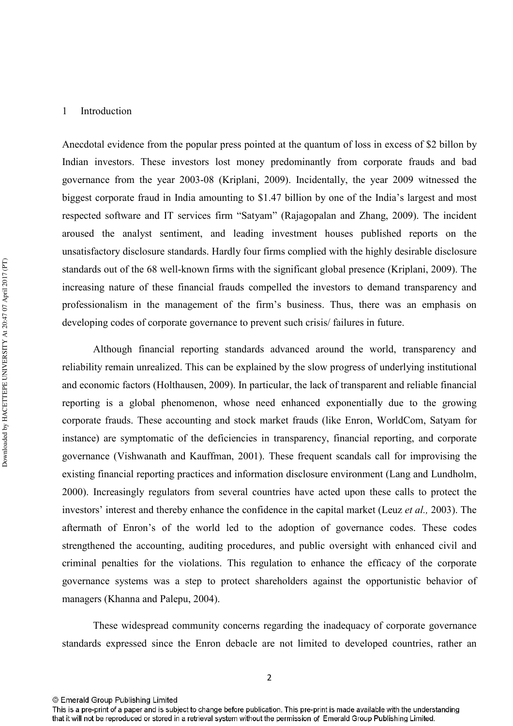#### 1 Introduction

Anecdotal evidence from the popular press pointed at the quantum of loss in excess of \$2 billon by Indian investors. These investors lost money predominantly from corporate frauds and bad governance from the year 2003-08 (Kriplani, 2009). Incidentally, the year 2009 witnessed the biggest corporate fraud in India amounting to \$1.47 billion by one of the India's largest and most respected software and IT services firm "Satyam" (Rajagopalan and Zhang, 2009). The incident aroused the analyst sentiment, and leading investment houses published reports on the unsatisfactory disclosure standards. Hardly four firms complied with the highly desirable disclosure standards out of the 68 well-known firms with the significant global presence (Kriplani, 2009). The increasing nature of these financial frauds compelled the investors to demand transparency and professionalism in the management of the firm's business. Thus, there was an emphasis on developing codes of corporate governance to prevent such crisis/ failures in future.

Although financial reporting standards advanced around the world, transparency and reliability remain unrealized. This can be explained by the slow progress of underlying institutional and economic factors (Holthausen, 2009). In particular, the lack of transparent and reliable financial reporting is a global phenomenon, whose need enhanced exponentially due to the growing corporate frauds. These accounting and stock market frauds (like Enron, WorldCom, Satyam for instance) are symptomatic of the deficiencies in transparency, financial reporting, and corporate governance (Vishwanath and Kauffman, 2001). These frequent scandals call for improvising the existing financial reporting practices and information disclosure environment (Lang and Lundholm, 2000). Increasingly regulators from several countries have acted upon these calls to protect the investors' interest and thereby enhance the confidence in the capital market (Leuz *et al.*, 2003). The aftermath of Enron's of the world led to the adoption of governance codes. These codes strengthened the accounting, auditing procedures, and public oversight with enhanced civil and criminal penalties for the violations. This regulation to enhance the efficacy of the corporate governance systems was a step to protect shareholders against the opportunistic behavior of managers (Khanna and Palepu, 2004).

These widespread community concerns regarding the inadequacy of corporate governance standards expressed since the Enron debacle are not limited to developed countries, rather an

This is a pre-print of a paper and is subject to change before publication. This pre-print is made available with the understanding that it will not be reproduced or stored in a retrieval system without the permission of Emerald Group Publishing Limited.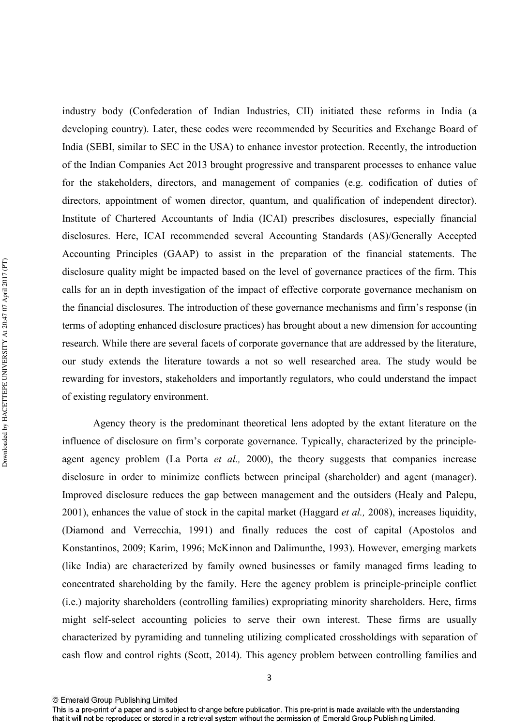industry body (Confederation of Indian Industries, CII) initiated these reforms in India (a developing country). Later, these codes were recommended by Securities and Exchange Board of India (SEBI, similar to SEC in the USA) to enhance investor protection. Recently, the introduction of the Indian Companies Act 2013 brought progressive and transparent processes to enhance value for the stakeholders, directors, and management of companies (e.g. codification of duties of directors, appointment of women director, quantum, and qualification of independent director). Institute of Chartered Accountants of India (ICAI) prescribes disclosures, especially financial disclosures. Here, ICAI recommended several Accounting Standards (AS)/Generally Accepted Accounting Principles (GAAP) to assist in the preparation of the financial statements. The disclosure quality might be impacted based on the level of governance practices of the firm. This calls for an in depth investigation of the impact of effective corporate governance mechanism on the financial disclosures. The introduction of these governance mechanisms and firm's response (in terms of adopting enhanced disclosure practices) has brought about a new dimension for accounting research. While there are several facets of corporate governance that are addressed by the literature, our study extends the literature towards a not so well researched area. The study would be rewarding for investors, stakeholders and importantly regulators, who could understand the impact of existing regulatory environment.

Agency theory is the predominant theoretical lens adopted by the extant literature on the influence of disclosure on firm's corporate governance. Typically, characterized by the principle agent agency problem (La Porta *et al.*, 2000), the theory suggests that companies increase disclosure in order to minimize conflicts between principal (shareholder) and agent (manager). Improved disclosure reduces the gap between management and the outsiders (Healy and Palepu, 2001), enhances the value of stock in the capital market (Haggard *et al.*, 2008), increases liquidity, (Diamond and Verrecchia, 1991) and finally reduces the cost of capital (Apostolos and Konstantinos, 2009; Karim, 1996; McKinnon and Dalimunthe, 1993). However, emerging markets (like India) are characterized by family owned businesses or family managed firms leading to concentrated shareholding by the family. Here the agency problem is principle-principle conflict (i.e.) majority shareholders (controlling families) expropriating minority shareholders. Here, firms might self-select accounting policies to serve their own interest. These firms are usually characterized by pyramiding and tunneling utilizing complicated crossholdings with separation of cash flow and control rights (Scott, 2014). This agency problem between controlling families and

3

<sup>©</sup> Emerald Group Publishing Limited

This is a pre-print of a paper and is subject to change before publication. This pre-print is made available with the understanding that it will not be reproduced or stored in a retrieval system without the permission of Emerald Group Publishing Limited.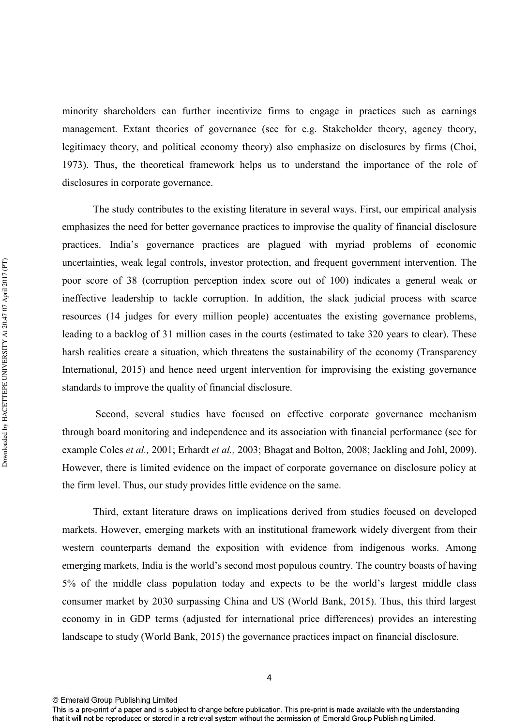minority shareholders can further incentivize firms to engage in practices such as earnings management. Extant theories of governance (see for e.g. Stakeholder theory, agency theory, legitimacy theory, and political economy theory) also emphasize on disclosures by firms (Choi, 1973). Thus, the theoretical framework helps us to understand the importance of the role of disclosures in corporate governance.

The study contributes to the existing literature in several ways. First, our empirical analysis emphasizes the need for better governance practices to improvise the quality of financial disclosure practices. India's governance practices are plagued with myriad problems of economic uncertainties, weak legal controls, investor protection, and frequent government intervention. The poor score of 38 (corruption perception index score out of 100) indicates a general weak or ineffective leadership to tackle corruption. In addition, the slack judicial process with scarce resources (14 judges for every million people) accentuates the existing governance problems, leading to a backlog of 31 million cases in the courts (estimated to take 320 years to clear). These harsh realities create a situation, which threatens the sustainability of the economy (Transparency International, 2015) and hence need urgent intervention for improvising the existing governance standards to improve the quality of financial disclosure.

 Second, several studies have focused on effective corporate governance mechanism through board monitoring and independence and its association with financial performance (see for example Coles *et al.*, 2001; Erhardt *et al.*, 2003; Bhagat and Bolton, 2008; Jackling and Johl, 2009). However, there is limited evidence on the impact of corporate governance on disclosure policy at the firm level. Thus, our study provides little evidence on the same.

Third, extant literature draws on implications derived from studies focused on developed markets. However, emerging markets with an institutional framework widely divergent from their western counterparts demand the exposition with evidence from indigenous works. Among emerging markets, India is the world's second most populous country. The country boasts of having 5% of the middle class population today and expects to be the world's largest middle class consumer market by 2030 surpassing China and US (World Bank, 2015). Thus, this third largest economy in in GDP terms (adjusted for international price differences) provides an interesting landscape to study (World Bank, 2015) the governance practices impact on financial disclosure.

This is a pre-print of a paper and is subject to change before publication. This pre-print is made available with the understanding that it will not be reproduced or stored in a retrieval system without the permission of Emerald Group Publishing Limited.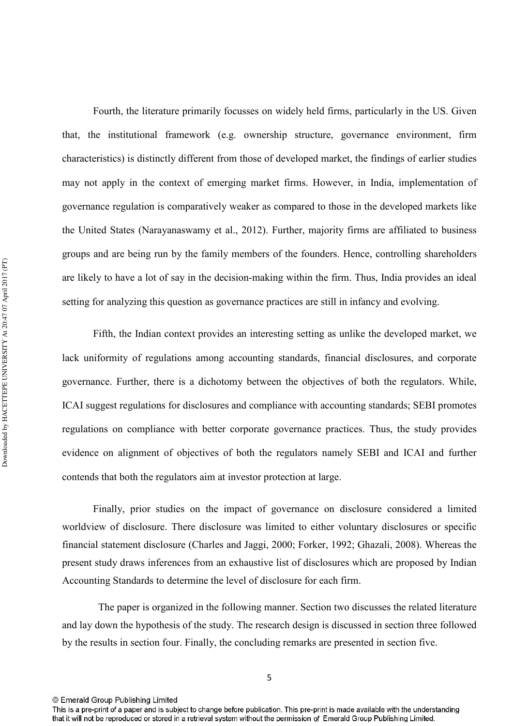Fourth, the literature primarily focusses on widely held firms, particularly in the US. Given that, the institutional framework (e.g. ownership structure, governance environment, firm characteristics) is distinctly different from those of developed market, the findings of earlier studies may not apply in the context of emerging market firms. However, in India, implementation of governance regulation is comparatively weaker as compared to those in the developed markets like the United States (Narayanaswamy et al., 2012). Further, majority firms are affiliated to business groups and are being run by the family members of the founders. Hence, controlling shareholders are likely to have a lot of say in the decision-making within the firm. Thus, India provides an ideal setting for analyzing this question as governance practices are still in infancy and evolving.

Fifth, the Indian context provides an interesting setting as unlike the developed market, we lack uniformity of regulations among accounting standards, financial disclosures, and corporate governance. Further, there is a dichotomy between the objectives of both the regulators. While, ICAI suggest regulations for disclosures and compliance with accounting standards; SEBI promotes regulations on compliance with better corporate governance practices. Thus, the study provides evidence on alignment of objectives of both the regulators namely SEBI and ICAI and further contends that both the regulators aim at investor protection at large.

Finally, prior studies on the impact of governance on disclosure considered a limited worldview of disclosure. There disclosure was limited to either voluntary disclosures or specific financial statement disclosure (Charles and Jaggi, 2000; Forker, 1992; Ghazali, 2008). Whereas the present study draws inferences from an exhaustive list of disclosures which are proposed by Indian Accounting Standards to determine the level of disclosure for each firm.

 The paper is organized in the following manner. Section two discusses the related literature and lay down the hypothesis of the study. The research design is discussed in section three followed by the results in section four. Finally, the concluding remarks are presented in section five.

This is a pre-print of a paper and is subject to change before publication. This pre-print is made available with the understanding that it will not be reproduced or stored in a retrieval system without the permission of Emerald Group Publishing Limited.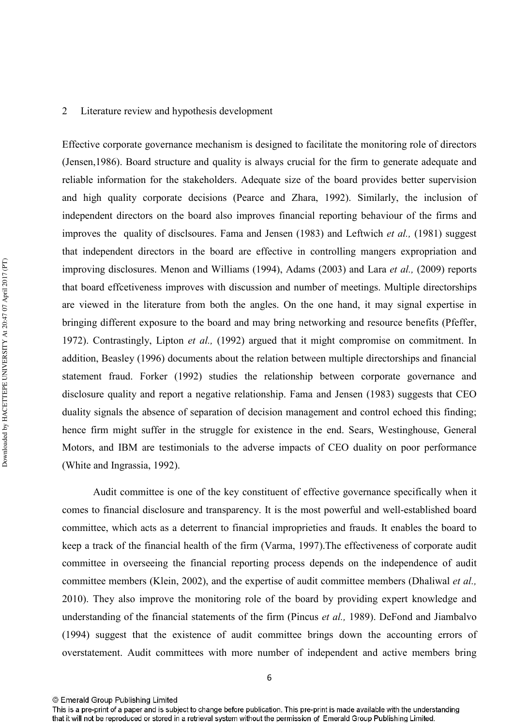#### 2 Literature review and hypothesis development

Effective corporate governance mechanism is designed to facilitate the monitoring role of directors (Jensen,1986). Board structure and quality is always crucial for the firm to generate adequate and reliable information for the stakeholders. Adequate size of the board provides better supervision and high quality corporate decisions (Pearce and Zhara, 1992). Similarly, the inclusion of independent directors on the board also improves financial reporting behaviour of the firms and improves the quality of disclsoures. Fama and Jensen (1983) and Leftwich *et al.*, (1981) suggest that independent directors in the board are effective in controlling mangers expropriation and improving disclosures. Menon and Williams (1994), Adams (2003) and Lara *et al.*, (2009) reports that board effcetiveness improves with discussion and number of meetings. Multiple directorships are viewed in the literature from both the angles. On the one hand, it may signal expertise in bringing different exposure to the board and may bring networking and resource benefits (Pfeffer, 1972). Contrastingly, Lipton *et al.*, (1992) argued that it might compromise on commitment. In addition, Beasley (1996) documents about the relation between multiple directorships and financial statement fraud. Forker (1992) studies the relationship between corporate governance and disclosure quality and report a negative relationship. Fama and Jensen (1983) suggests that CEO duality signals the absence of separation of decision management and control echoed this finding; hence firm might suffer in the struggle for existence in the end. Sears, Westinghouse, General Motors, and IBM are testimonials to the adverse impacts of CEO duality on poor performance (White and Ingrassia, 1992).

Audit committee is one of the key constituent of effective governance specifically when it comes to financial disclosure and transparency. It is the most powerful and wellestablished board committee, which acts as a deterrent to financial improprieties and frauds. It enables the board to keep a track of the financial health of the firm (Varma, 1997).The effectiveness of corporate audit committee in overseeing the financial reporting process depends on the independence of audit committee members (Klein, 2002), and the expertise of audit committee members (Dhaliwal *et al.*, 2010). They also improve the monitoring role of the board by providing expert knowledge and understanding of the financial statements of the firm (Pincus *et al.*, 1989). DeFond and Jiambalvo (1994) suggest that the existence of audit committee brings down the accounting errors of overstatement. Audit committees with more number of independent and active members bring

6

<sup>©</sup> Emerald Group Publishing Limited

This is a pre-print of a paper and is subject to change before publication. This pre-print is made available with the understanding that it will not be reproduced or stored in a retrieval system without the permission of Emerald Group Publishing Limited.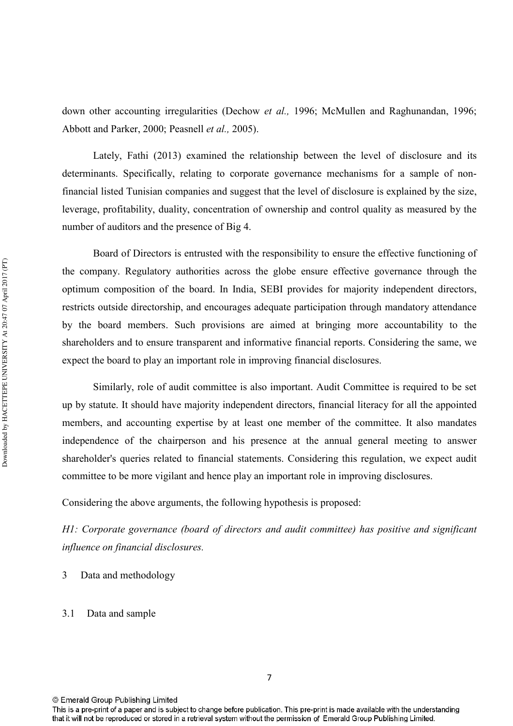down other accounting irregularities (Dechow et al., 1996; McMullen and Raghunandan, 1996; Abbott and Parker, 2000; Peasnell *et al.*, 2005).

Lately, Fathi (2013) examined the relationship between the level of disclosure and its determinants. Specifically, relating to corporate governance mechanisms for a sample of non financial listed Tunisian companies and suggest that the level of disclosure is explained by the size, leverage, profitability, duality, concentration of ownership and control quality as measured by the number of auditors and the presence of Big 4.

Board of Directors is entrusted with the responsibility to ensure the effective functioning of the company. Regulatory authorities across the globe ensure effective governance through the optimum composition of the board. In India, SEBI provides for majority independent directors, restricts outside directorship, and encourages adequate participation through mandatory attendance by the board members. Such provisions are aimed at bringing more accountability to the shareholders and to ensure transparent and informative financial reports. Considering the same, we expect the board to play an important role in improving financial disclosures.

Similarly, role of audit committee is also important. Audit Committee is required to be set up by statute. It should have majority independent directors, financial literacy for all the appointed members, and accounting expertise by at least one member of the committee. It also mandates independence of the chairperson and his presence at the annual general meeting to answer shareholder's queries related to financial statements. Considering this regulation, we expect audit committee to be more vigilant and hence play an important role in improving disclosures.

Considering the above arguments, the following hypothesis is proposed:

*H1: Corporate governance (board of directors and audit committee) has positive and significant influence on financial disclosures.* 

3 Data and methodology

#### 3.1 Data and sample

7

<sup>©</sup> Emerald Group Publishing Limited

This is a pre-print of a paper and is subject to change before publication. This pre-print is made available with the understanding that it will not be reproduced or stored in a retrieval system without the permission of Emerald Group Publishing Limited.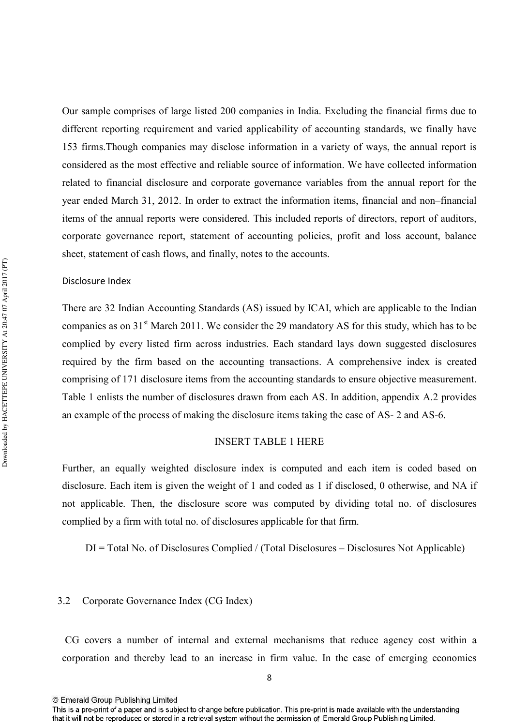Our sample comprises of large listed 200 companies in India. Excluding the financial firms due to different reporting requirement and varied applicability of accounting standards, we finally have 153 firms.Though companies may disclose information in a variety of ways, the annual report is considered as the most effective and reliable source of information. We have collected information related to financial disclosure and corporate governance variables from the annual report for the year ended March 31, 2012. In order to extract the information items, financial and non–financial items of the annual reports were considered. This included reports of directors, report of auditors, corporate governance report, statement of accounting policies, profit and loss account, balance sheet, statement of cash flows, and finally, notes to the accounts.

#### Disclosure Index

There are 32 Indian Accounting Standards (AS) issued by ICAI, which are applicable to the Indian companies as on 31<sup>st</sup> March 2011. We consider the 29 mandatory AS for this study, which has to be complied by every listed firm across industries. Each standard lays down suggested disclosures required by the firm based on the accounting transactions. A comprehensive index is created comprising of 171 disclosure items from the accounting standards to ensure objective measurement. Table 1 enlists the number of disclosures drawn from each AS. In addition, appendix A.2 provides an example of the process of making the disclosure items taking the case of AS-2 and AS-6.

#### INSERT TABLE 1 HERE

Further, an equally weighted disclosure index is computed and each item is coded based on disclosure. Each item is given the weight of 1 and coded as 1 if disclosed, 0 otherwise, and NA if not applicable. Then, the disclosure score was computed by dividing total no. of disclosures complied by a firm with total no. of disclosures applicable for that firm.

DI = Total No. of Disclosures Complied / (Total Disclosures – Disclosures Not Applicable)

#### 3.2 Corporate Governance Index (CG Index)

CG covers a number of internal and external mechanisms that reduce agency cost within a corporation and thereby lead to an increase in firm value. In the case of emerging economies

This is a pre-print of a paper and is subject to change before publication. This pre-print is made available with the understanding that it will not be reproduced or stored in a retrieval system without the permission of Emerald Group Publishing Limited.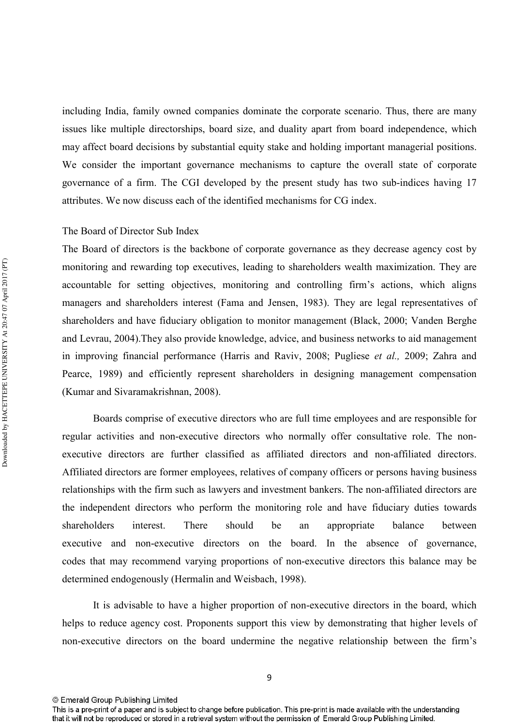including India, family owned companies dominate the corporate scenario. Thus, there are many issues like multiple directorships, board size, and duality apart from board independence, which may affect board decisions by substantial equity stake and holding important managerial positions. We consider the important governance mechanisms to capture the overall state of corporate governance of a firm. The CGI developed by the present study has two sub-indices having 17 attributes. We now discuss each of the identified mechanisms for CG index.

#### The Board of Director Sub Index

The Board of directors is the backbone of corporate governance as they decrease agency cost by monitoring and rewarding top executives, leading to shareholders wealth maximization. They are accountable for setting objectives, monitoring and controlling firm's actions, which aligns managers and shareholders interest (Fama and Jensen, 1983). They are legal representatives of shareholders and have fiduciary obligation to monitor management (Black, 2000; Vanden Berghe and Levrau, 2004).They also provide knowledge, advice, and business networks to aid management in improving financial performance (Harris and Raviv, 2008; Pugliese et al., 2009; Zahra and Pearce, 1989) and efficiently represent shareholders in designing management compensation (Kumar and Sivaramakrishnan, 2008).

Boards comprise of executive directors who are full time employees and are responsible for regular activities and non-executive directors who normally offer consultative role. The nonexecutive directors are further classified as affiliated directors and non-affiliated directors. Affiliated directors are former employees, relatives of company officers or persons having business relationships with the firm such as lawyers and investment bankers. The non-affiliated directors are the independent directors who perform the monitoring role and have fiduciary duties towards shareholders interest. There should be an appropriate balance between executive and non-executive directors on the board. In the absence of governance, codes that may recommend varying proportions of nonexecutive directors this balance may be determined endogenously (Hermalin and Weisbach, 1998).

It is advisable to have a higher proportion of nonexecutive directors in the board, which helps to reduce agency cost. Proponents support this view by demonstrating that higher levels of non-executive directors on the board undermine the negative relationship between the firm's

This is a pre-print of a paper and is subject to change before publication. This pre-print is made available with the understanding that it will not be reproduced or stored in a retrieval system without the permission of Emerald Group Publishing Limited.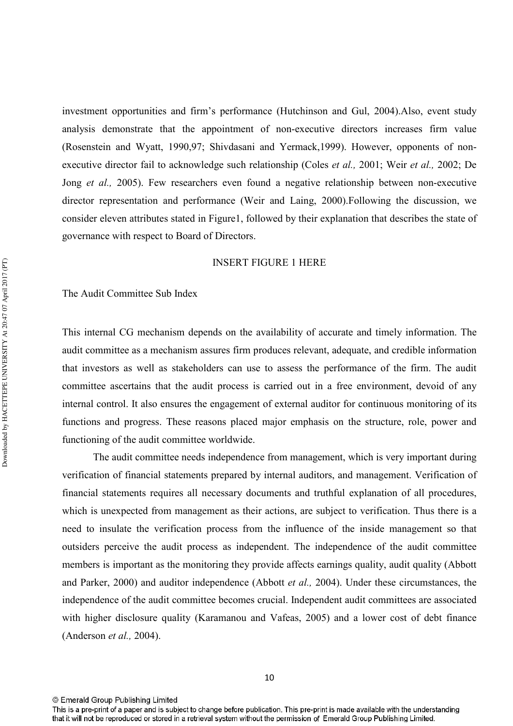investment opportunities and firm's performance (Hutchinson and Gul, 2004).Also, event study analysis demonstrate that the appointment of nonexecutive directors increases firm value (Rosenstein and Wyatt, 1990,97; Shivdasani and Yermack,1999). However, opponents of non executive director fail to acknowledge such relationship (Coles *et al.*, 2001; Weir *et al.*, 2002; De Jong et al., 2005). Few researchers even found a negative relationship between non-executive director representation and performance (Weir and Laing, 2000).Following the discussion, we consider eleven attributes stated in Figure1, followed by their explanation that describes the state of governance with respect to Board of Directors.

#### INSERT FIGURE 1 HERE

#### The Audit Committee Sub Index

This internal CG mechanism depends on the availability of accurate and timely information. The audit committee as a mechanism assures firm produces relevant, adequate, and credible information that investors as well as stakeholders can use to assess the performance of the firm. The audit committee ascertains that the audit process is carried out in a free environment, devoid of any internal control. It also ensures the engagement of external auditor for continuous monitoring of its functions and progress. These reasons placed major emphasis on the structure, role, power and functioning of the audit committee worldwide.

 The audit committee needs independence from management, which is very important during verification of financial statements prepared by internal auditors, and management. Verification of financial statements requires all necessary documents and truthful explanation of all procedures, which is unexpected from management as their actions, are subject to verification. Thus there is a need to insulate the verification process from the influence of the inside management so that outsiders perceive the audit process as independent. The independence of the audit committee members is important as the monitoring they provide affects earnings quality, audit quality (Abbott and Parker, 2000) and auditor independence (Abbott *et al.*, 2004). Under these circumstances, the independence of the audit committee becomes crucial. Independent audit committees are associated with higher disclosure quality (Karamanou and Vafeas, 2005) and a lower cost of debt finance (Anderson *et al.*, 2004).

This is a pre-print of a paper and is subject to change before publication. This pre-print is made available with the understanding that it will not be reproduced or stored in a retrieval system without the permission of Emerald Group Publishing Limited.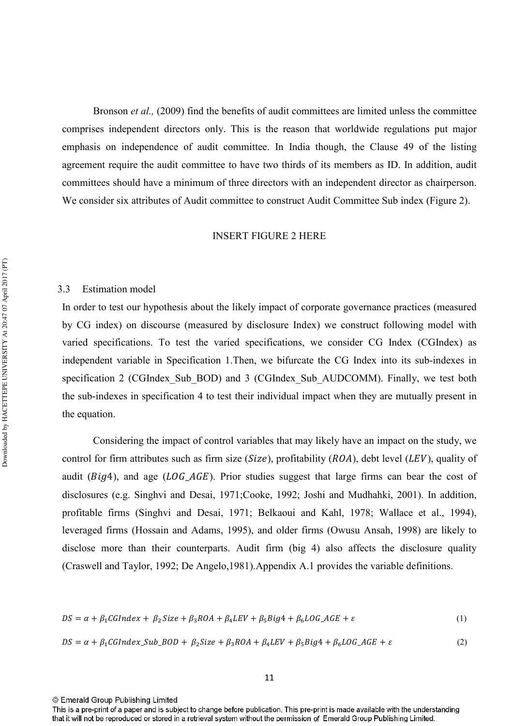Bronson *et al.*, (2009) find the benefits of audit committees are limited unless the committee comprises independent directors only. This is the reason that worldwide regulations put major emphasis on independence of audit committee. In India though, the Clause 49 of the listing agreement require the audit committee to have two thirds of its members as ID. In addition, audit committees should have a minimum of three directors with an independent director as chairperson. We consider six attributes of Audit committee to construct Audit Committee Sub index (Figure 2).

#### INSERT FIGURE 2 HERE

#### 3.3 Estimation model

In order to test our hypothesis about the likely impact of corporate governance practices (measured by CG index) on discourse (measured by disclosure Index) we construct following model with varied specifications. To test the varied specifications, we consider CG Index (CGIndex) as independent variable in Specification 1. Then, we bifurcate the CG Index into its sub-indexes in specification 2 (CGIndex Sub BOD) and 3 (CGIndex Sub AUDCOMM). Finally, we test both the sub-indexes in specification 4 to test their individual impact when they are mutually present in the equation.

 Considering the impact of control variables that may likely have an impact on the study, we control for firm attributes such as firm size (Size), profitability  $(ROA)$ , debt level (LEV), quality of audit ( $Big$ ), and age ( $LOG\_AGE$ ). Prior studies suggest that large firms can bear the cost of disclosures (e.g. Singhvi and Desai, 1971;Cooke, 1992; Joshi and Mudhahki, 2001). In addition, profitable firms (Singhvi and Desai, 1971; Belkaoui and Kahl, 1978; Wallace et al., 1994), leveraged firms (Hossain and Adams, 1995), and older firms (Owusu Ansah, 1998) are likely to disclose more than their counterparts. Audit firm (big 4) also affects the disclosure quality (Craswell and Taylor, 1992; De Angelo,1981).Appendix A.1 provides the variable definitions.

$$
DS = \alpha + \beta_1 C GIndex + \beta_2 Size + \beta_3 ROA + \beta_4 LEV + \beta_5 Big4 + \beta_6 LOG\_AGE + \varepsilon
$$
\n(1)

$$
DS = \alpha + \beta_1 C GIndex\_Sub\_BOD + \beta_2 Size + \beta_3 ROA + \beta_4 LEV + \beta_5 Big4 + \beta_6 LOG\_AGE + \varepsilon
$$
 (2)

<sup>©</sup> Emerald Group Publishing Limited

This is a pre-print of a paper and is subject to change before publication. This pre-print is made available with the understanding that it will not be reproduced or stored in a retrieval system without the permission of Emerald Group Publishing Limited.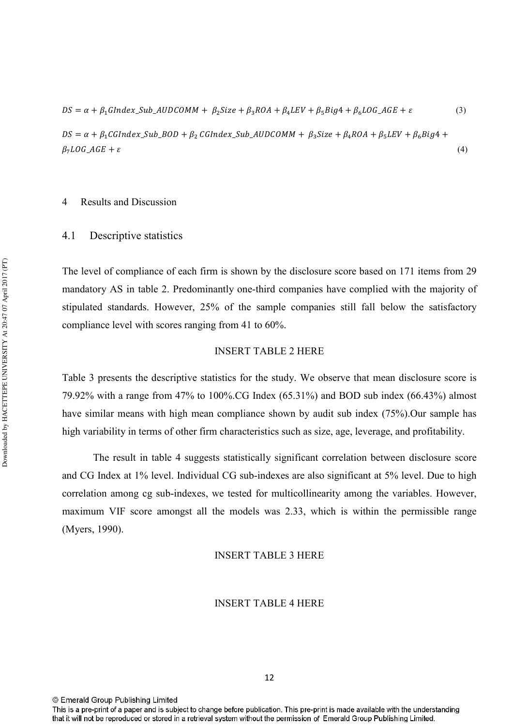$DS = \alpha + \beta_1 GIndex\_Sub\_AUDCOMM + \beta_2 Size + \beta_3 ROA + \beta_4 LEV + \beta_5 Big4 + \beta_6 LOG\_AGE + \varepsilon$  (3)

 $DS = \alpha + \beta_1 CGIndex\_Sub\_BOD + \beta_2 CGIndex\_Sub\_AUDCOMM + \beta_3 Size + \beta_4 ROA + \beta_5 LEV + \beta_6 Big4 +$  $\beta_7 LOG\_AGE + \varepsilon$  (4)

#### 4 Results and Discussion

#### 4.1 Descriptive statistics

The level of compliance of each firm is shown by the disclosure score based on 171 items from 29 mandatory AS in table 2. Predominantly one-third companies have complied with the majority of stipulated standards. However, 25% of the sample companies still fall below the satisfactory compliance level with scores ranging from 41 to 60%.

#### INSERT TABLE 2 HERE

Table 3 presents the descriptive statistics for the study. We observe that mean disclosure score is 79.92% with a range from 47% to 100%.CG Index (65.31%) and BOD sub index (66.43%) almost have similar means with high mean compliance shown by audit sub index (75%).Our sample has high variability in terms of other firm characteristics such as size, age, leverage, and profitability.

 The result in table 4 suggests statistically significant correlation between disclosure score and CG Index at 1% level. Individual CG sub-indexes are also significant at 5% level. Due to high correlation among cg sub-indexes, we tested for multicollinearity among the variables. However, maximum VIF score amongst all the models was 2.33, which is within the permissible range (Myers, 1990).

#### INSERT TABLE 3 HERE

#### INSERT TABLE 4 HERE

This is a pre-print of a paper and is subject to change before publication. This pre-print is made available with the understanding that it will not be reproduced or stored in a retrieval system without the permission of Emerald Group Publishing Limited.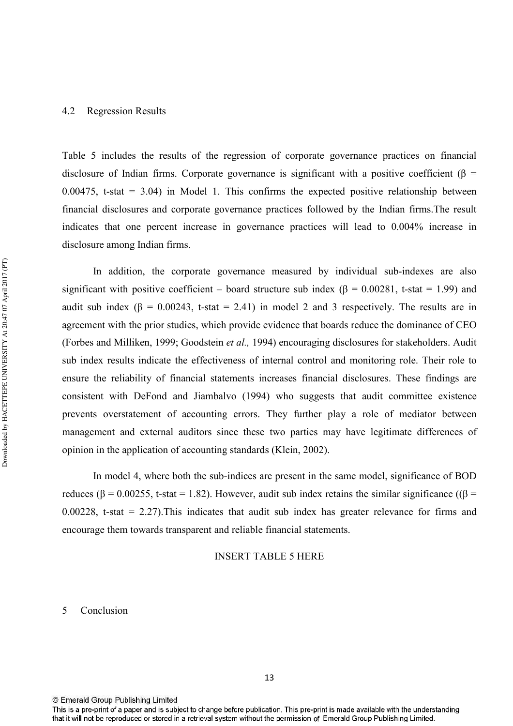#### 4.2 Regression Results

Table 5 includes the results of the regression of corporate governance practices on financial disclosure of Indian firms. Corporate governance is significant with a positive coefficient ( $\beta$  = 0.00475, t-stat  $= 3.04$ ) in Model 1. This confirms the expected positive relationship between financial disclosures and corporate governance practices followed by the Indian firms.The result indicates that one percent increase in governance practices will lead to 0.004% increase in disclosure among Indian firms.

In addition, the corporate governance measured by individual sub-indexes are also significant with positive coefficient – board structure sub index ( $\beta$  = 0.00281, t-stat = 1.99) and audit sub index ( $\beta$  = 0.00243, t-stat = 2.41) in model 2 and 3 respectively. The results are in agreement with the prior studies, which provide evidence that boards reduce the dominance of CEO (Forbes and Milliken, 1999; Goodstein *et al.*, 1994) encouraging disclosures for stakeholders. Audit sub index results indicate the effectiveness of internal control and monitoring role. Their role to ensure the reliability of financial statements increases financial disclosures. These findings are consistent with DeFond and Jiambalvo (1994) who suggests that audit committee existence prevents overstatement of accounting errors. They further play a role of mediator between management and external auditors since these two parties may have legitimate differences of opinion in the application of accounting standards (Klein, 2002).

In model 4, where both the sub-indices are present in the same model, significance of BOD reduces (β = 0.00255, t-stat = 1.82). However, audit sub index retains the similar significance ((β = 0.00228, t-stat  $= 2.27$ ). This indicates that audit sub index has greater relevance for firms and encourage them towards transparent and reliable financial statements.

#### INSERT TABLE 5 HERE

## 5 Conclusion

<sup>©</sup> Emerald Group Publishing Limited

This is a pre-print of a paper and is subject to change before publication. This pre-print is made available with the understanding that it will not be reproduced or stored in a retrieval system without the permission of Emerald Group Publishing Limited.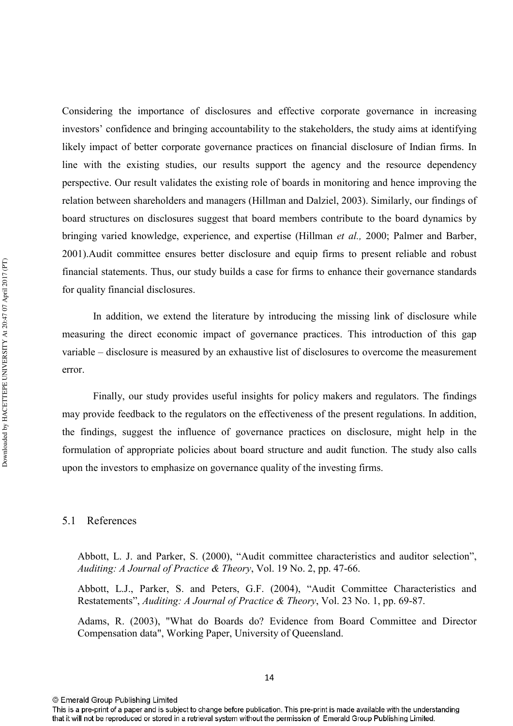Considering the importance of disclosures and effective corporate governance in increasing investors' confidence and bringing accountability to the stakeholders, the study aims at identifying likely impact of better corporate governance practices on financial disclosure of Indian firms. In line with the existing studies, our results support the agency and the resource dependency perspective. Our result validates the existing role of boards in monitoring and hence improving the relation between shareholders and managers (Hillman and Dalziel, 2003). Similarly, our findings of board structures on disclosures suggest that board members contribute to the board dynamics by bringing varied knowledge, experience, and expertise (Hillman et al., 2000; Palmer and Barber, 2001).Audit committee ensures better disclosure and equip firms to present reliable and robust financial statements. Thus, our study builds a case for firms to enhance their governance standards for quality financial disclosures.

 In addition, we extend the literature by introducing the missing link of disclosure while measuring the direct economic impact of governance practices. This introduction of this gap variable – disclosure is measured by an exhaustive list of disclosures to overcome the measurement error.

 Finally, our study provides useful insights for policy makers and regulators. The findings may provide feedback to the regulators on the effectiveness of the present regulations. In addition, the findings, suggest the influence of governance practices on disclosure, might help in the formulation of appropriate policies about board structure and audit function. The study also calls upon the investors to emphasize on governance quality of the investing firms.

#### 5.1 References

Abbott, L. J. and Parker, S. (2000), "Audit committee characteristics and auditor selection", Auditing: A Journal of Practice & Theory, Vol. 19 No. 2, pp. 47-66.

Abbott, L.J., Parker, S. and Peters, G.F. (2004), "Audit Committee Characteristics and Restatements", *Auditing: A Journal of Practice & Theory*, Vol. 23 No. 1, pp. 69-87.

Adams, R. (2003), "What do Boards do? Evidence from Board Committee and Director Compensation data", Working Paper, University of Queensland.

14

<sup>©</sup> Emerald Group Publishing Limited

This is a pre-print of a paper and is subject to change before publication. This pre-print is made available with the understanding that it will not be reproduced or stored in a retrieval system without the permission of Emerald Group Publishing Limited.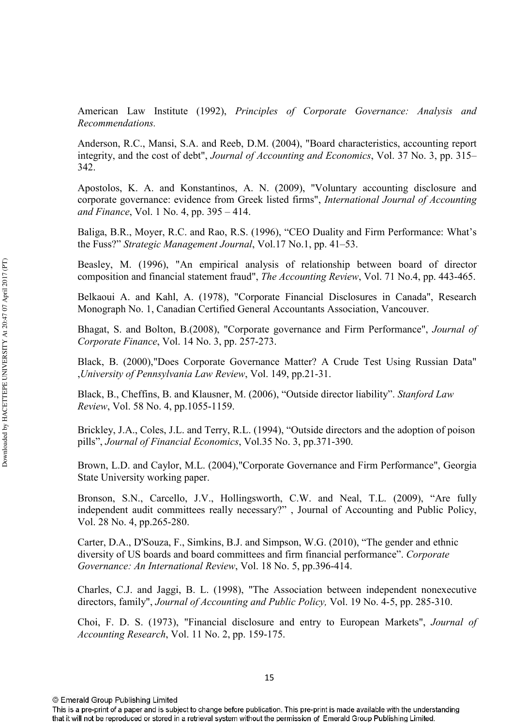American Law Institute (1992), Principles of Corporate Governance: Analysis and Recommendations.

Anderson, R.C., Mansi, S.A. and Reeb, D.M. (2004), "Board characteristics, accounting report integrity, and the cost of debt", *Journal of Accounting and Economics*, Vol. 37 No. 3, pp. 315– 342.

Apostolos, K. A. and Konstantinos, A. N. (2009), "Voluntary accounting disclosure and corporate governance: evidence from Greek listed firms", International Journal of Accounting *and Finance*, Vol. 1 No. 4, pp. 395 – 414.

Baliga, B.R., Moyer, R.C. and Rao, R.S. (1996), "CEO Duality and Firm Performance: What's the Fuss?" *Strategic Management Journal*, Vol.17 No.1, pp. 41–53.

Beasley, M. (1996), "An empirical analysis of relationship between board of director composition and financial statement fraud", *The Accounting Review*, Vol. 71 No.4, pp. 443-465.

Belkaoui A. and Kahl, A. (1978), "Corporate Financial Disclosures in Canada", Research Monograph No. 1, Canadian Certified General Accountants Association, Vancouver.

Bhagat, S. and Bolton, B. (2008), "Corporate governance and Firm Performance", *Journal of Corporate Finance, Vol. 14 No. 3, pp. 257-273.* 

Black, B. (2000),"Does Corporate Governance Matter? A Crude Test Using Russian Data" University of Pennsylvania Law Review, Vol. 149, pp.21-31.

Black, B., Cheffins, B. and Klausner, M. (2006), "Outside director liability". *Stanford Law Review, Vol.* 58 No. 4, pp.1055-1159.

Brickley, J.A., Coles, J.L. and Terry, R.L. (1994), "Outside directors and the adoption of poison pills", *Journal of Financial Economics*, Vol.35 No. 3, pp.371-390.

Brown, L.D. and Caylor, M.L. (2004),"Corporate Governance and Firm Performance", Georgia State University working paper.

Bronson, S.N., Carcello, J.V., Hollingsworth, C.W. and Neal, T.L. (2009), "Are fully independent audit committees really necessary?" , Journal of Accounting and Public Policy, Vol. 28 No. 4, pp. 265-280.

Carter, D.A., D'Souza, F., Simkins, B.J. and Simpson, W.G. (2010), "The gender and ethnic diversity of US boards and board committees and firm financial performance". Corporate Governance: An International Review, Vol. 18 No. 5, pp.396-414.

Charles, C.J. and Jaggi, B. L. (1998), "The Association between independent nonexecutive directors, family", *Journal of Accounting and Public Policy*, Vol. 19 No. 4-5, pp. 285-310.

Choi, F. D. S. (1973), "Financial disclosure and entry to European Markets", *Journal of Accounting Research, Vol. 11 No. 2, pp. 159-175.* 

<sup>©</sup> Emerald Group Publishing Limited

This is a pre-print of a paper and is subject to change before publication. This pre-print is made available with the understanding that it will not be reproduced or stored in a retrieval system without the permission of Emerald Group Publishing Limited.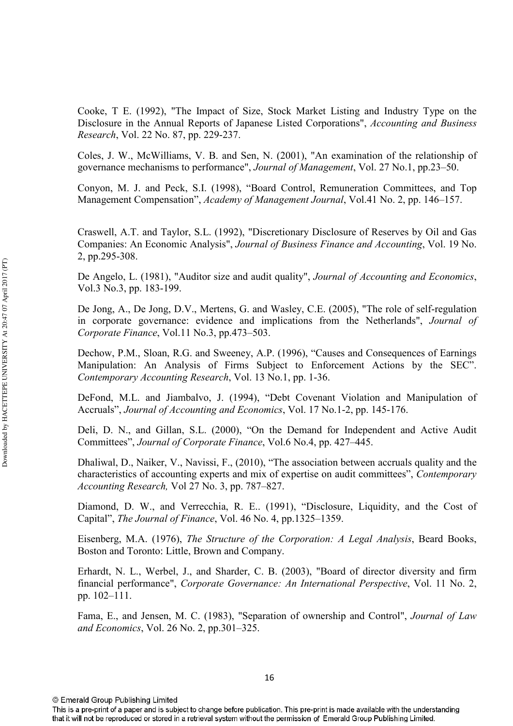Cooke, T E. (1992), "The Impact of Size, Stock Market Listing and Industry Type on the Disclosure in the Annual Reports of Japanese Listed Corporations", *Accounting and Business Research*, Vol. 22 No. 87, pp. 229-237.

Coles, J. W., McWilliams, V. B. and Sen, N. (2001), "An examination of the relationship of governance mechanisms to performance", *Journal of Management*, Vol. 27 No.1, pp.23–50.

Conyon, M. J. and Peck, S.I. (1998), "Board Control, Remuneration Committees, and Top Management Compensation", Academy of Management Journal, Vol.41 No. 2, pp. 146–157.

Craswell, A.T. and Taylor, S.L. (1992), "Discretionary Disclosure of Reserves by Oil and Gas Companies: An Economic Analysis", Journal of Business Finance and Accounting, Vol. 19 No. 2, pp.295-308.

De Angelo, L. (1981), "Auditor size and audit quality", *Journal of Accounting and Economics*, Vol.3 No.3, pp. 183-199.

De Jong, A., De Jong, D.V., Mertens, G. and Wasley, C.E. (2005), "The role of self-regulation in corporate governance: evidence and implications from the Netherlands", *Journal of Corporate Finance*, Vol.11 No.3, pp.473–503.

Dechow, P.M., Sloan, R.G. and Sweeney, A.P. (1996), "Causes and Consequences of Earnings Manipulation: An Analysis of Firms Subject to Enforcement Actions by the SEC". Contemporary Accounting Research, Vol. 13 No.1, pp. 1-36.

DeFond, M.L. and Jiambalvo, J. (1994), "Debt Covenant Violation and Manipulation of Accruals", Journal of Accounting and Economics, Vol. 17 No.1-2, pp. 145-176.

Deli, D. N., and Gillan, S.L. (2000), "On the Demand for Independent and Active Audit Committees", *Journal of Corporate Finance*, Vol.6 No.4, pp. 427–445.

Dhaliwal, D., Naiker, V., Navissi, F., (2010), "The association between accruals quality and the characteristics of accounting experts and mix of expertise on audit committees", *Contemporary Accounting Research, Vol 27 No. 3, pp. 787–827.* 

Diamond, D. W., and Verrecchia, R. E.. (1991), "Disclosure, Liquidity, and the Cost of Capital", *The Journal of Finance*, Vol. 46 No. 4, pp.1325–1359.

Eisenberg, M.A. (1976), The Structure of the Corporation: A Legal Analysis, Beard Books, Boston and Toronto: Little, Brown and Company.

Erhardt, N. L., Werbel, J., and Sharder, C. B. (2003), "Board of director diversity and firm financial performance", Corporate Governance: An International Perspective, Vol. 11 No. 2, pp. 102–111.

Fama, E., and Jensen, M. C. (1983), "Separation of ownership and Control", *Journal of Law* and *Economics*, Vol. 26 No. 2, pp.301–325.

This is a pre-print of a paper and is subject to change before publication. This pre-print is made available with the understanding that it will not be reproduced or stored in a retrieval system without the permission of Emerald Group Publishing Limited.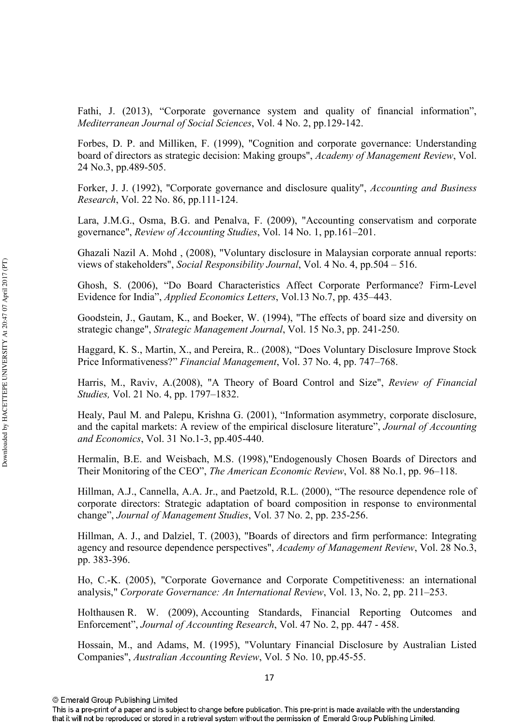Fathi, J. (2013), "Corporate governance system and quality of financial information", Mediterranean Journal of Social Sciences, Vol. 4 No. 2, pp.129-142.

Forbes, D. P. and Milliken, F. (1999), "Cognition and corporate governance: Understanding board of directors as strategic decision: Making groups", Academy of Management Review, Vol. 24 No.3, pp.489-505.

Forker, J. J. (1992), "Corporate governance and disclosure quality", *Accounting and Business Research*, Vol. 22 No. 86, pp.111-124.

Lara, J.M.G., Osma, B.G. and Penalva, F. (2009), "Accounting conservatism and corporate governance", *Review of Accounting Studies*, Vol. 14 No. 1, pp.161–201.

Ghazali Nazil A. Mohd , (2008), "Voluntary disclosure in Malaysian corporate annual reports: views of stakeholders", *Social Responsibility Journal*, Vol. 4 No. 4, pp.504 – 516.

Ghosh, S. (2006), "Do Board Characteristics Affect Corporate Performance? FirmLevel Evidence for India", *Applied Economics Letters*, Vol.13 No.7, pp. 435–443.

Goodstein, J., Gautam, K., and Boeker, W. (1994), "The effects of board size and diversity on strategic change", *Strategic Management Journal*, Vol. 15 No.3, pp. 241-250.

Haggard, K. S., Martin, X., and Pereira, R.. (2008), "Does Voluntary Disclosure Improve Stock Price Informativeness?" *Financial Management*, Vol. 37 No. 4, pp. 747–768.

Harris, M., Raviv, A.(2008), "A Theory of Board Control and Size", *Review of Financial Studies*, Vol. 21 No. 4, pp. 1797–1832.

Healy, Paul M. and Palepu, Krishna G. (2001), "Information asymmetry, corporate disclosure, and the capital markets: A review of the empirical disclosure literature", *Journal of Accounting* and Economics, Vol. 31 No.1-3, pp.405-440.

Hermalin, B.E. and Weisbach, M.S. (1998),"Endogenously Chosen Boards of Directors and Their Monitoring of the CEO", *The American Economic Review*, Vol. 88 No.1, pp. 96–118.

Hillman, A.J., Cannella, A.A. Jr., and Paetzold, R.L. (2000), "The resource dependence role of corporate directors: Strategic adaptation of board composition in response to environmental change", Journal of Management Studies, Vol. 37 No. 2, pp. 235-256.

Hillman, A. J., and Dalziel, T. (2003), "Boards of directors and firm performance: Integrating agency and resource dependence perspectives", Academy of Management Review, Vol. 28 No.3, pp. 383-396.

Ho, C.K. (2005), "Corporate Governance and Corporate Competitiveness: an international analysis," Corporate Governance: An International Review, Vol. 13, No. 2, pp. 211–253.

Holthausen R. W. (2009), Accounting Standards, Financial Reporting Outcomes and Enforcement", Journal of Accounting Research, Vol. 47 No. 2, pp. 447 - 458.

Hossain, M., and Adams, M. (1995), "Voluntary Financial Disclosure by Australian Listed Companies", *Australian Accounting Review*, Vol. 5 No. 10, pp.45-55.

<sup>©</sup> Emerald Group Publishing Limited

This is a pre-print of a paper and is subject to change before publication. This pre-print is made available with the understanding that it will not be reproduced or stored in a retrieval system without the permission of Emerald Group Publishing Limited.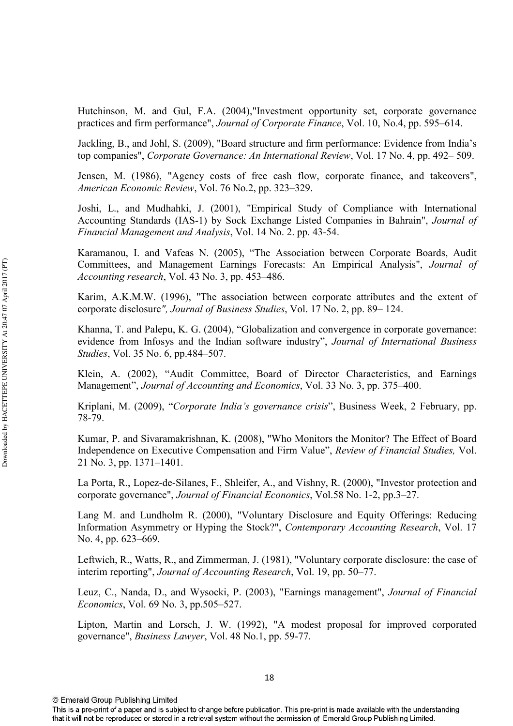Hutchinson, M. and Gul, F.A. (2004),"Investment opportunity set, corporate governance practices and firm performance", *Journal of Corporate Finance*, Vol. 10, No.4, pp. 595–614.

Jackling, B., and Johl, S. (2009), "Board structure and firm performance: Evidence from India's top companies", Corporate Governance: An International Review, Vol. 17 No. 4, pp. 492–509.

Jensen, M. (1986), "Agency costs of free cash flow, corporate finance, and takeovers", *American Economic Review, Vol. 76 No.2, pp. 323–329.* 

Joshi, L., and Mudhahki, J. (2001), "Empirical Study of Compliance with International Accounting Standards (IAS-1) by Sock Exchange Listed Companies in Bahrain", *Journal of Financial Management and Analysis, Vol. 14 No. 2. pp. 43-54.* 

Karamanou, I. and Vafeas N. (2005), "The Association between Corporate Boards, Audit Committees, and Management Earnings Forecasts: An Empirical Analysis", *Accounting research*, Vol. 43 No. 3, pp. 453–486.

Karim, A.K.M.W. (1996), "The association between corporate attributes and the extent of corporate disclosure", Journal of Business Studies, Vol. 17 No. 2, pp. 89–124.

Khanna, T. and Palepu, K. G. (2004), "Globalization and convergence in corporate governance: evidence from Infosys and the Indian software industry", *Journal of International Business Studies*, Vol. 35 No. 6, pp.484–507.

Klein, A. (2002), "Audit Committee, Board of Director Characteristics, and Earnings Management", *Journal of Accounting and Economics*, Vol. 33 No. 3, pp. 375–400.

Kriplani, M. (2009), "Corporate India's governance crisis", Business Week, 2 February, pp. 78-79.

Kumar, P. and Sivaramakrishnan, K. (2008), "Who Monitors the Monitor? The Effect of Board Independence on Executive Compensation and Firm Value", *Review of Financial Studies*, Vol. 21 No. 3, pp. 1371–1401.

La Porta, R., Lopez-de-Silanes, F., Shleifer, A., and Vishny, R. (2000), "Investor protection and corporate governance", *Journal of Financial Economics*, Vol.58 No. 1-2, pp.3–27.

Lang M. and Lundholm R. (2000), "Voluntary Disclosure and Equity Offerings: Reducing Information Asymmetry or Hyping the Stock?", *Contemporary Accounting Research*, Vol. 17 No. 4, pp. 623–669.

Leftwich, R., Watts, R., and Zimmerman, J. (1981), "Voluntary corporate disclosure: the case of interim reporting", *Journal of Accounting Research*, Vol. 19, pp. 50–77.

Leuz, C., Nanda, D., and Wysocki, P. (2003), "Earnings management", *Journal of Financial Economics*, Vol. 69 No. 3, pp.505–527.

Lipton, Martin and Lorsch, J. W. (1992), "A modest proposal for improved corporated governance", *Business Lawyer*, Vol. 48 No.1, pp. 59-77.

<sup>©</sup> Emerald Group Publishing Limited

This is a pre-print of a paper and is subject to change before publication. This pre-print is made available with the understanding that it will not be reproduced or stored in a retrieval system without the permission of Emerald Group Publishing Limited.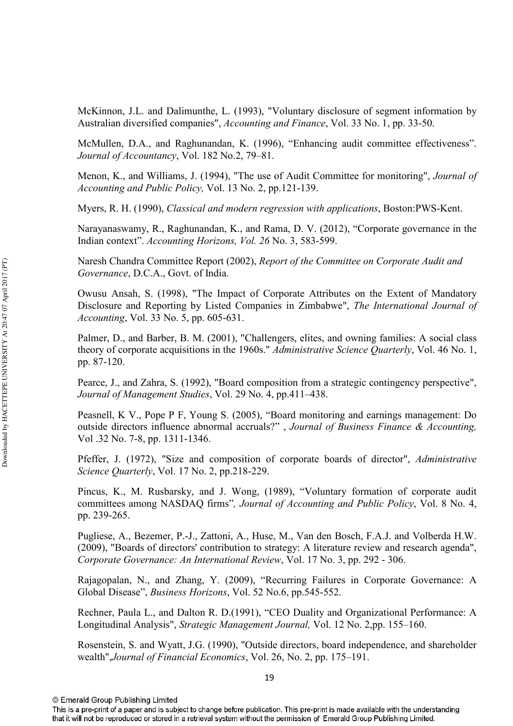McKinnon, J.L. and Dalimunthe, L. (1993), "Voluntary disclosure of segment information by Australian diversified companies", *Accounting and Finance*, Vol. 33 No. 1, pp. 33-50.

McMullen, D.A., and Raghunandan, K. (1996), "Enhancing audit committee effectiveness". Journal of Accountancy, Vol. 182 No.2, 79–81.

Menon, K., and Williams, J. (1994), "The use of Audit Committee for monitoring",  Accounting and Public Policy, Vol. 13 No. 2, pp.121-139.

Myers, R. H. (1990), *Classical and modern regression with applications*, Boston:PWS-Kent.

Narayanaswamy, R., Raghunandan, K., and Rama, D. V. (2012), "Corporate governance in the Indian context". *Accounting Horizons, Vol. 26* No. 3, 583-599.

Naresh Chandra Committee Report (2002), Report of the Committee on Corporate Audit and Governance, D.C.A., Govt. of India.

Owusu Ansah, S. (1998), "The Impact of Corporate Attributes on the Extent of Mandatory Disclosure and Reporting by Listed Companies in Zimbabwe", The International Journal of *Accounting*, Vol. 33 No. 5, pp. 605-631.

Palmer, D., and Barber, B. M. (2001), "Challengers, elites, and owning families: A social class theory of corporate acquisitions in the 1960s." *Administrative Science Quarterly*, Vol. 46 No. 1, pp. 87-120.

Pearce, J., and Zahra, S. (1992), "Board composition from a strategic contingency perspective", Journal of Management Studies, Vol. 29 No. 4, pp.411–438.

Peasnell, K V., Pope P F, Young S. (2005), "Board monitoring and earnings management: Do outside directors influence abnormal accruals?", Journal of Business Finance & Accounting, Vol .32 No. 7-8, pp. 1311-1346.

Pfeffer, J. (1972), "Size and composition of corporate boards of director", *Administrative Science Quarterly, Vol. 17 No. 2, pp.218-229.* 

Pincus, K., M. Rusbarsky, and J. Wong, (1989), "Voluntary formation of corporate audit committees among NASDAQ firms", Journal of Accounting and Public Policy, Vol. 8 No. 4, pp. 239-265.

Pugliese, A., Bezemer, P.J., Zattoni, A., Huse, M., Van den Bosch, F.A.J. and Volberda H.W. (2009), "Boards of directors' contribution to strategy: A literature review and research agenda", Corporate Governance: An International Review, Vol. 17 No. 3, pp. 292 - 306.

Rajagopalan, N., and Zhang, Y. (2009), "Recurring Failures in Corporate Governance: A Global Disease", *Business Horizons*, Vol. 52 No.6, pp.545-552.

Rechner, Paula L., and Dalton R. D.(1991), "CEO Duality and Organizational Performance: A Longitudinal Analysis", Strategic Management Journal, Vol. 12 No. 2,pp. 155–160.

Rosenstein, S. and Wyatt, J.G. (1990), "Outside directors, board independence, and shareholder wealth", Journal of Financial Economics, Vol. 26, No. 2, pp. 175–191.

<sup>©</sup> Emerald Group Publishing Limited

This is a pre-print of a paper and is subject to change before publication. This pre-print is made available with the understanding that it will not be reproduced or stored in a retrieval system without the permission of Emerald Group Publishing Limited.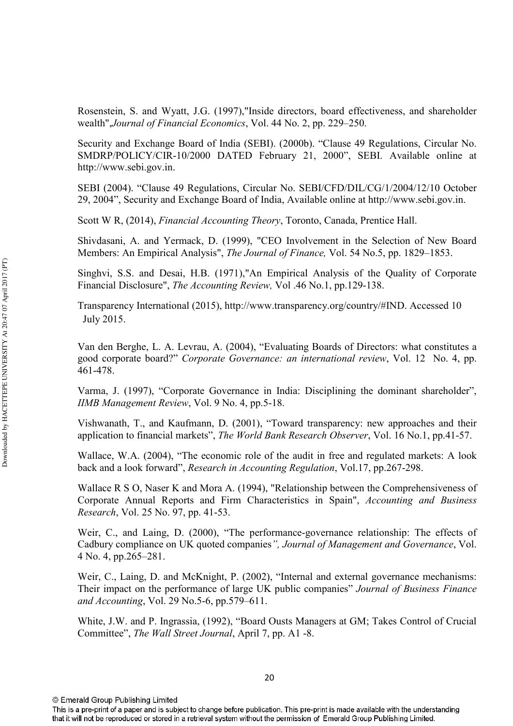Rosenstein, S. and Wyatt, J.G. (1997),"Inside directors, board effectiveness, and shareholder wealth", Journal of Financial Economics, Vol. 44 No. 2, pp. 229–250.

Security and Exchange Board of India (SEBI). (2000b). "Clause 49 Regulations, Circular No. SMDRP/POLICY/CIR-10/2000 DATED February 21, 2000", SEBI. Available online at http://www.sebi.gov.in.

SEBI (2004). "Clause 49 Regulations, Circular No. SEBI/CFD/DIL/CG/1/2004/12/10 October 29, 2004", Security and Exchange Board of India, Available online at http://www.sebi.gov.in.

Scott W R, (2014), *Financial Accounting Theory*, Toronto, Canada, Prentice Hall.

Shivdasani, A. and Yermack, D. (1999), "CEO Involvement in the Selection of New Board Members: An Empirical Analysis", *The Journal of Finance*, Vol. 54 No.5, pp. 1829–1853.

Singhvi, S.S. and Desai, H.B. (1971),"An Empirical Analysis of the Quality of Corporate Financial Disclosure", *The Accounting Review*, Vol. 46 No.1, pp.129-138.

 Transparency International (2015), http://www.transparency.org/country/#IND. Accessed 10 July 2015.

Van den Berghe, L. A. Levrau, A. (2004), "Evaluating Boards of Directors: what constitutes a good corporate board?" *Corporate Governance: an international review*, Vol. 12 No. 4, pp. 461478.

Varma, J. (1997), "Corporate Governance in India: Disciplining the dominant shareholder", *IIMB Management Review*, Vol. 9 No. 4, pp.5-18.

Vishwanath, T., and Kaufmann, D. (2001), "Toward transparency: new approaches and their application to financial markets", *The World Bank Research Observer*, Vol. 16 No.1, pp.41-57.

Wallace, W.A. (2004), "The economic role of the audit in free and regulated markets: A look back and a look forward", *Research in Accounting Regulation*, Vol.17, pp.267-298.

Wallace R S O, Naser K and Mora A. (1994), "Relationship between the Comprehensiveness of Corporate Annual Reports and Firm Characteristics in Spain", Accounting and Business *Research*, Vol. 25 No. 97, pp. 41-53.

Weir, C., and Laing, D. (2000), "The performance-governance relationship: The effects of Cadbury compliance on UK quoted companies", Journal of Management and Governance, Vol. 4 No. 4, pp.265–281.

Weir, C., Laing, D. and McKnight, P. (2002), "Internal and external governance mechanisms: Their impact on the performance of large UK public companies" *Journal of Business Finance* and *Accounting*, Vol. 29 No.5-6, pp.579–611.

White, J.W. and P. Ingrassia, (1992), "Board Ousts Managers at GM; Takes Control of Crucial Committee", *The Wall Street Journal*, April 7, pp. A1 -8.

This is a pre-print of a paper and is subject to change before publication. This pre-print is made available with the understanding that it will not be reproduced or stored in a retrieval system without the permission of Emerald Group Publishing Limited.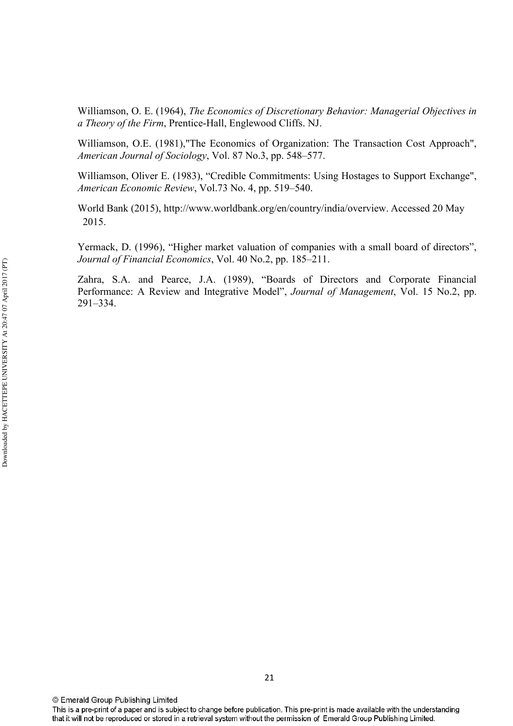Williamson, O. E. (1964), The Economics of Discretionary Behavior: Managerial Objectives in a Theory of the Firm, Prentice-Hall, Englewood Cliffs. NJ.

Williamson, O.E. (1981),"The Economics of Organization: The Transaction Cost Approach", *American Journal of Sociology, Vol. 87 No.3, pp. 548–577.* 

Williamson, Oliver E. (1983), "Credible Commitments: Using Hostages to Support Exchange", *American Economic Review, Vol.73 No. 4, pp. 519–540.* 

 World Bank (2015), http://www.worldbank.org/en/country/india/overview. Accessed 20 May 2015.

Yermack, D. (1996), "Higher market valuation of companies with a small board of directors", Journal of Financial Economics, Vol. 40 No.2, pp. 185–211.

Zahra, S.A. and Pearce, J.A. (1989), "Boards of Directors and Corporate Financial Performance: A Review and Integrative Model", *Journal of Management*, Vol. 15 No.2, pp. 291–334.

This is a pre-print of a paper and is subject to change before publication. This pre-print is made available with the understanding that it will not be reproduced or stored in a retrieval system without the permission of Emerald Group Publishing Limited.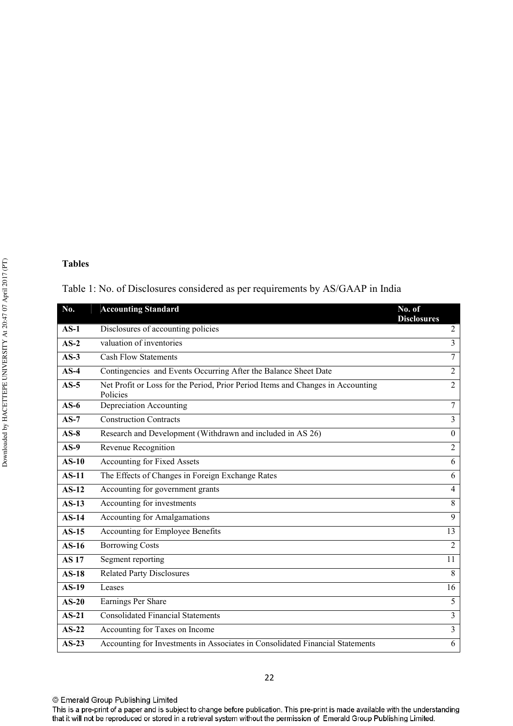#### **Tables**

## Table 1: No. of Disclosures considered as per requirements by AS/GAAP in India

| No.          | <b>Accounting Standard</b>                                                                  | No. of<br><b>Disclosures</b> |
|--------------|---------------------------------------------------------------------------------------------|------------------------------|
| $AS-1$       | Disclosures of accounting policies                                                          | $\overline{2}$               |
| $AS-2$       | valuation of inventories                                                                    | $\overline{3}$               |
| $AS-3$       | <b>Cash Flow Statements</b>                                                                 | $\overline{7}$               |
| $AS-4$       | Contingencies and Events Occurring After the Balance Sheet Date                             | $\overline{2}$               |
| $AS-5$       | Net Profit or Loss for the Period, Prior Period Items and Changes in Accounting<br>Policies | $\overline{2}$               |
| $AS-6$       | Depreciation Accounting                                                                     | $\overline{7}$               |
| $AS-7$       | <b>Construction Contracts</b>                                                               | $\overline{3}$               |
| $AS-8$       | Research and Development (Withdrawn and included in AS 26)                                  | $\overline{0}$               |
| $AS-9$       | Revenue Recognition                                                                         | $\overline{2}$               |
| $AS-10$      | <b>Accounting for Fixed Assets</b>                                                          | 6                            |
| $AS-11$      | The Effects of Changes in Foreign Exchange Rates                                            | 6                            |
| $AS-12$      | Accounting for government grants                                                            | $\overline{4}$               |
| $AS-13$      | Accounting for investments                                                                  | 8                            |
| $AS-14$      | <b>Accounting for Amalgamations</b>                                                         | 9                            |
| $AS-15$      | Accounting for Employee Benefits                                                            | 13                           |
| $AS-16$      | <b>Borrowing Costs</b>                                                                      | $\overline{2}$               |
| <b>AS 17</b> | Segment reporting                                                                           | 11                           |
| $AS-18$      | <b>Related Party Disclosures</b>                                                            | 8                            |
| $AS-19$      | Leases                                                                                      | 16                           |
| $AS-20$      | Earnings Per Share                                                                          | 5                            |
| $AS-21$      | <b>Consolidated Financial Statements</b>                                                    | $\overline{3}$               |
| $AS-22$      | Accounting for Taxes on Income                                                              | 3                            |
| $AS-23$      | Accounting for Investments in Associates in Consolidated Financial Statements               | 6                            |

<sup>©</sup> Emerald Group Publishing Limited

This is a pre-print of a paper and is subject to change before publication. This pre-print is made available with the understanding that it will not be reproduced or stored in a retrieval system without the permission of Emerald Group Publishing Limited.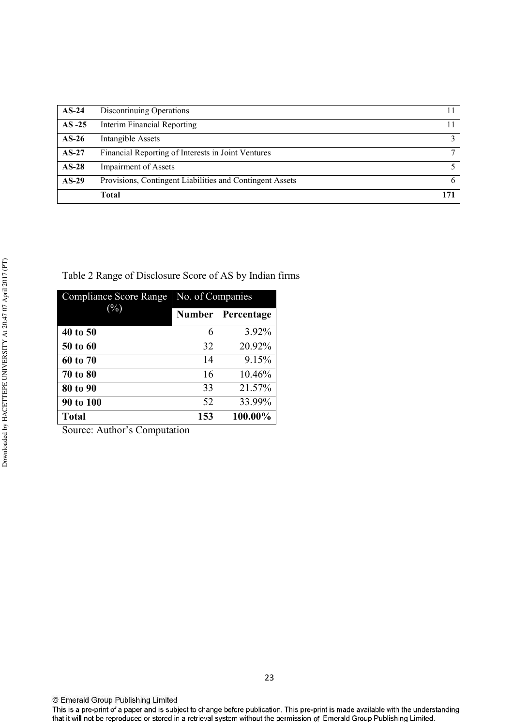| $AS-24$  | Discontinuing Operations                                 |     |
|----------|----------------------------------------------------------|-----|
| $AS -25$ | Interim Financial Reporting                              |     |
| $AS-26$  | Intangible Assets                                        |     |
| $AS-27$  | Financial Reporting of Interests in Joint Ventures       |     |
| $AS-28$  | Impairment of Assets                                     |     |
| $AS-29$  | Provisions, Contingent Liabilities and Contingent Assets |     |
|          | Total                                                    | 171 |

Table 2 Range of Disclosure Score of AS by Indian firms

| <b>Compliance Score Range</b> | No. of Companies |                   |  |
|-------------------------------|------------------|-------------------|--|
| $(\%)$                        |                  | Number Percentage |  |
| 40 to 50                      | 6                | 3.92%             |  |
| 50 to 60                      | 32               | 20.92%            |  |
| 60 to 70                      | 14               | 9.15%             |  |
| 70 to 80                      | 16               | 10.46%            |  |
| 80 to 90                      | 33               | 21.57%            |  |
| 90 to 100                     | 52               | 33.99%            |  |
| <b>Total</b>                  | 153              | 100.00%           |  |

Source: Author's Computation

This is a pre-print of a paper and is subject to change before publication. This pre-print is made available with the understanding that it will not be reproduced or stored in a retrieval system without the permission of Emerald Group Publishing Limited.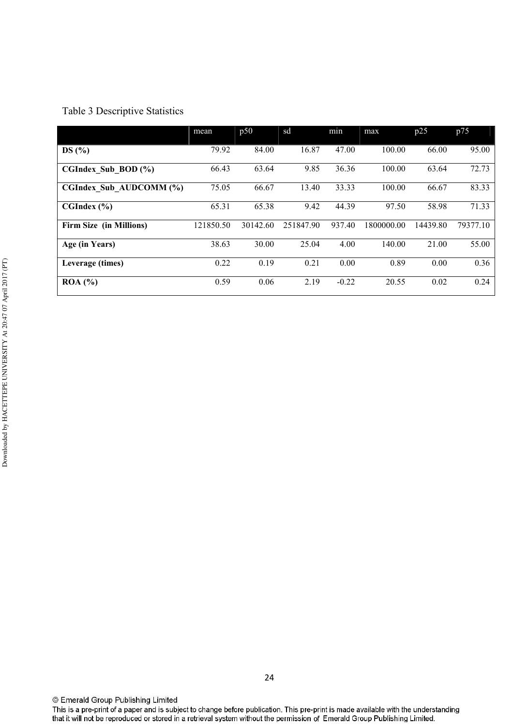## Table 3 Descriptive Statistics

|                                | mean      | p50      | sd        | min     | max        | p25      | p75      |
|--------------------------------|-----------|----------|-----------|---------|------------|----------|----------|
| DS(%)                          | 79.92     | 84.00    | 16.87     | 47.00   | 100.00     | 66.00    | 95.00    |
| CGIndex Sub BOD $(\% )$        | 66.43     | 63.64    | 9.85      | 36.36   | 100.00     | 63.64    | 72.73    |
| CGIndex Sub AUDCOMM (%)        | 75.05     | 66.67    | 13.40     | 33.33   | 100.00     | 66.67    | 83.33    |
| CGIndex (%)                    | 65.31     | 65.38    | 9.42      | 44.39   | 97.50      | 58.98    | 71.33    |
| <b>Firm Size (in Millions)</b> | 121850.50 | 30142.60 | 251847.90 | 937.40  | 1800000.00 | 14439.80 | 79377.10 |
| Age (in Years)                 | 38.63     | 30.00    | 25.04     | 4.00    | 140.00     | 21.00    | 55.00    |
| Leverage (times)               | 0.22      | 0.19     | 0.21      | 0.00    | 0.89       | 0.00     | 0.36     |
| ROA (%)                        | 0.59      | 0.06     | 2.19      | $-0.22$ | 20.55      | 0.02     | 0.24     |

Downloaded by HACETTEPE UNIVERSITY At 20:47 07 April 2017 (PT) Downloaded by HACETTEPE UNIVERSITY At 20:47 07 April 2017 (PT)

This is a pre-print of a paper and is subject to change before publication. This pre-print is made available with the understanding that it will not be reproduced or stored in a retrieval system without the permission of Emerald Group Publishing Limited.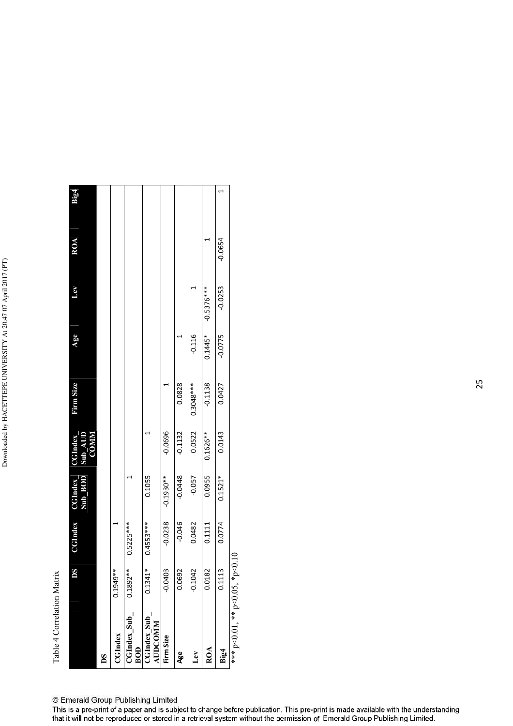Table 4 Correlation Matrix Table 4 Correlation Matrix

|                                | DS         | <b>CGIndex</b> | Sub_BOD<br><b>CGIndex</b> | Sub_AUD<br>COMM<br><b>CGIndex</b> | Firm Size   | Age       | $\mathbf{E}$ | ROA       | Big4 |
|--------------------------------|------------|----------------|---------------------------|-----------------------------------|-------------|-----------|--------------|-----------|------|
| Š                              |            |                |                           |                                   |             |           |              |           |      |
| <b>CGIndex</b>                 | $0.1949**$ |                |                           |                                   |             |           |              |           |      |
| CGIndex_Sub_<br>BOD            | $0.1892**$ | $0.5225***$    |                           |                                   |             |           |              |           |      |
| CGIndex Sub<br>AUDCOMM         | $0.1341*$  | $0.4553***$    | 0.1055                    |                                   |             |           |              |           |      |
| Firm Size                      | $-0.0403$  | $-0.0238$      | $-0.1930**$               | $-0.0696$                         |             |           |              |           |      |
| Age                            | 0.0692     | $-0.046$       | $-0.0448$                 | $-0.1132$                         | 0.0828      |           |              |           |      |
| Lev                            | $-0.1042$  | 0.0482         | $-0.057$                  | 0.0522                            | $0.3048***$ | $-0.116$  |              |           |      |
| ROA                            | 0.0182     | 0.1111         | 0.0955                    | $0.1626***$                       | $-0.1138$   | $0.1445*$ | $-0.5376***$ |           |      |
| Big4                           | 0.1113     | 0.0774         | $0.1521*$                 | 0.0143                            | 0.0427      | $-0.0775$ | $-0.0253$    | $-0.0654$ |      |
| *** p<0.01, ** p<0.05, *p<0.10 |            |                |                           |                                   |             |           |              |           |      |

© Emerald Group Publishing Limited

This is a pre-print of a paper and is subject to change before publication. This pre-print is made available with the understanding that it will not be reproduced or stored in a retrieval system without the permission of Emerald Group Publishing Limited.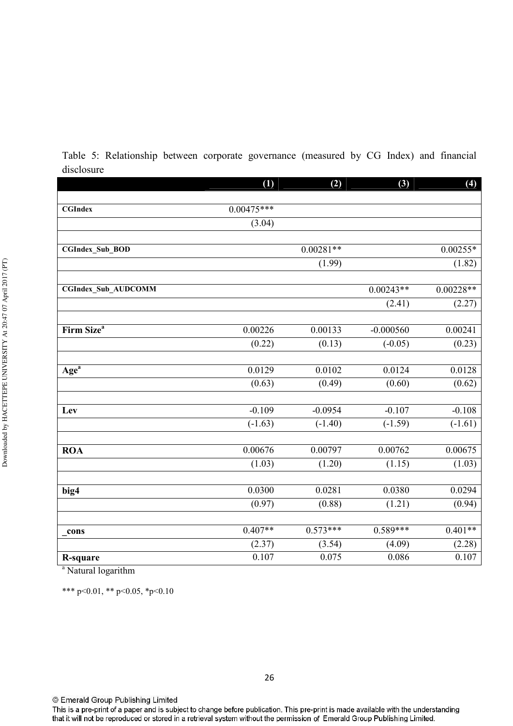Table 5: Relationship between corporate governance (measured by CG Index) and financial disclosure

|                                         | (1)          | (2)         | (3)         | (4)         |
|-----------------------------------------|--------------|-------------|-------------|-------------|
|                                         |              |             |             |             |
| <b>CGIndex</b>                          | $0.00475***$ |             |             |             |
|                                         | (3.04)       |             |             |             |
|                                         |              |             |             |             |
| CGIndex_Sub_BOD                         |              | $0.00281**$ |             | $0.00255*$  |
|                                         |              | (1.99)      |             | (1.82)      |
|                                         |              |             |             |             |
| <b>CGIndex_Sub_AUDCOMM</b>              |              |             | $0.00243**$ | $0.00228**$ |
|                                         |              |             | (2.41)      | (2.27)      |
|                                         |              |             |             |             |
| Firm Size <sup>a</sup>                  | 0.00226      | 0.00133     | $-0.000560$ | 0.00241     |
|                                         | (0.22)       | (0.13)      | $(-0.05)$   | (0.23)      |
|                                         |              |             |             |             |
| Age <sup>a</sup>                        | 0.0129       | 0.0102      | 0.0124      | 0.0128      |
|                                         | (0.63)       | (0.49)      | (0.60)      | (0.62)      |
|                                         |              |             |             |             |
| Lev                                     | $-0.109$     | $-0.0954$   | $-0.107$    | $-0.108$    |
|                                         | $(-1.63)$    | $(-1.40)$   | $(-1.59)$   | $(-1.61)$   |
|                                         |              |             |             |             |
| <b>ROA</b>                              | 0.00676      | 0.00797     | 0.00762     | 0.00675     |
|                                         | (1.03)       | (1.20)      | (1.15)      | (1.03)      |
|                                         |              |             |             |             |
| big4                                    | 0.0300       | 0.0281      | 0.0380      | 0.0294      |
|                                         | (0.97)       | (0.88)      | (1.21)      | (0.94)      |
|                                         |              |             |             |             |
| cons                                    | $0.407**$    | $0.573***$  | $0.589***$  | $0.401**$   |
|                                         | (2.37)       | (3.54)      | (4.09)      | (2.28)      |
| <b>R-square</b><br>$\ddot{\phantom{0}}$ | 0.107        | 0.075       | 0.086       | 0.107       |

<sup>a</sup> Natural logarithm

\*\*\* p<0.01, \*\* p<0.05, \*p<0.10

This is a pre-print of a paper and is subject to change before publication. This pre-print is made available with the understanding that it will not be reproduced or stored in a retrieval system without the permission of Emerald Group Publishing Limited.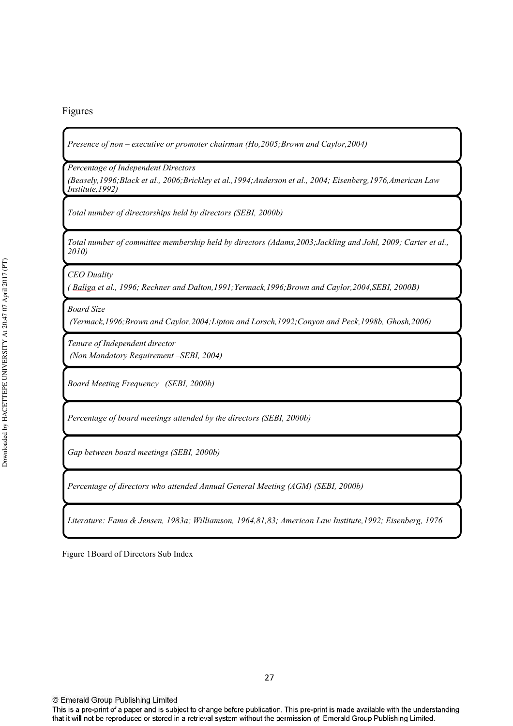#### Figures

Presence of non – executive or promoter chairman (Ho,2005;Brown and Caylor,2004)

*Percentage of Independent Directors* 

(Beasely,1996;Black et al., 2006;Brickley et al.,1994;Anderson et al., 2004; Eisenberg,1976,American Law) *Lnstitute, 1992)* 

Total number of directorships held by directors (SEBI, 2000b)

Total number of committee membership held by directors (Adams,2003;Jackling and Johl, 2009; Carter et al., 2010)

*CEO Duality* 

( Baliga et al., 1996; Rechner and Dalton,1991;Yermack,1996;Brown and Caylor,2004,SEBI, 2000B)

Board Size

(Yermack, 1996; Brown and Caylor, 2004; Lipton and Lorsch, 1992; Conyon and Peck, 1998b, Ghosh, 2006)

Tenure of Independent director

*(Non Mandatory Requirement -SEBI, 2004)* 

Board Meeting Frequency (SEBI, 2000b)

Percentage of board meetings attended by the directors (SEBI, 2000b)

Gap between board meetings (SEBI, 2000b)

Percentage of directors who attended Annual General Meeting (AGM) (SEBI, 2000b)

Literature: Fama & Jensen, 1983a; Williamson, 1964,81,83; American Law Institute,1992; Eisenberg, 1976

Figure 1Board of Directors Sub Index

This is a pre-print of a paper and is subject to change before publication. This pre-print is made available with the understanding that it will not be reproduced or stored in a retrieval system without the permission of Emerald Group Publishing Limited.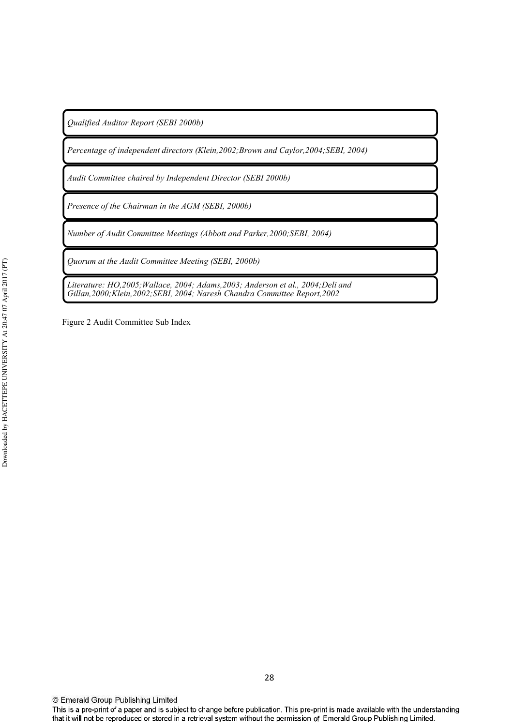Qualified Auditor Report (SEBI 2000b)

Percentage of independent directors (Klein, 2002; Brown and Caylor, 2004; SEBI, 2004)

Audit Committee chaired by Independent Director (SEBI 2000b)

*Presence of the Chairman in the AGM (SEBI, 2000b)* 

*Number of Audit Committee Meetings (Abbott and Parker,2000;SEBI, 2004)* 

*Quorum at the Audit Committee Meeting (SEBI, 2000b)* 

Literature: HO,2005;Wallace, 2004; Adams,2003; Anderson et al., 2004;Deli and Gillan, 2000; Klein, 2002; SEBI, 2004; Naresh Chandra Committee Report, 2002

Figure 2 Audit Committee Sub Index

This is a pre-print of a paper and is subject to change before publication. This pre-print is made available with the understanding that it will not be reproduced or stored in a retrieval system without the permission of Emerald Group Publishing Limited.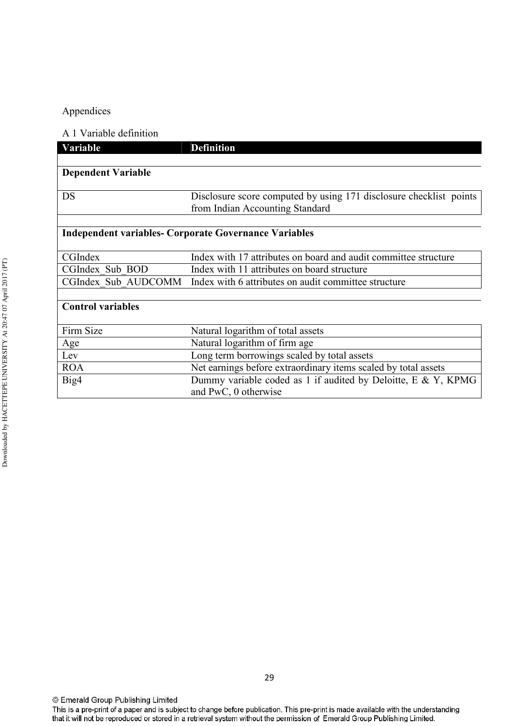## Appendices

#### A 1 Variable definition

| Variable                  | <b>Definition</b>                                                  |
|---------------------------|--------------------------------------------------------------------|
|                           |                                                                    |
| <b>Dependent Variable</b> |                                                                    |
|                           |                                                                    |
| DS                        | Disclosure score computed by using 171 disclosure checklist points |
|                           | from Indian Accounting Standard                                    |
|                           |                                                                    |
|                           | <b>Independent variables- Corporate Governance Variables</b>       |
|                           |                                                                    |
| CGIndex                   | Index with 17 attributes on board and audit committee structure    |
| CGIndex Sub BOD           | Index with 11 attributes on board structure                        |
| CGIndex Sub AUDCOMM       | Index with 6 attributes on audit committee structure               |
|                           |                                                                    |
| <b>Control variables</b>  |                                                                    |
|                           |                                                                    |
| Firm Size                 | Natural logarithm of total assets                                  |
| Age                       | Natural logarithm of firm age                                      |
| Lev                       | Long term borrowings scaled by total assets                        |
| <b>ROA</b>                | Net earnings before extraordinary items scaled by total assets     |
| Big4                      | Dummy variable coded as 1 if audited by Deloitte, E & Y, KPMG      |
|                           | and PwC, 0 otherwise                                               |

This is a pre-print of a paper and is subject to change before publication. This pre-print is made available with the understanding that it will not be reproduced or stored in a retrieval system without the permission of Emerald Group Publishing Limited.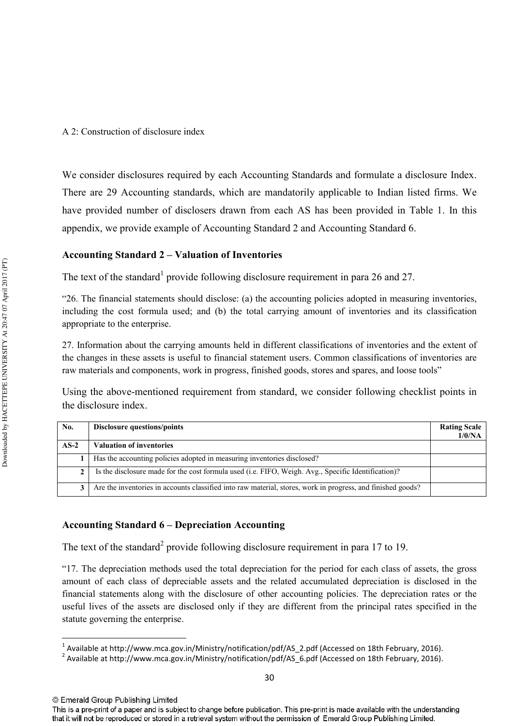We consider disclosures required by each Accounting Standards and formulate a disclosure Index. There are 29 Accounting standards, which are mandatorily applicable to Indian listed firms. We have provided number of disclosers drawn from each AS has been provided in Table 1. In this appendix, we provide example of Accounting Standard 2 and Accounting Standard 6.

#### Accounting Standard 2 – Valuation of Inventories

The text of the standard<sup>1</sup> provide following disclosure requirement in para 26 and 27.

"26. The financial statements should disclose: (a) the accounting policies adopted in measuring inventories, including the cost formula used; and (b) the total carrying amount of inventories and its classification appropriate to the enterprise.

27. Information about the carrying amounts held in different classifications of inventories and the extent of the changes in these assets is useful to financial statement users. Common classifications of inventories are raw materials and components, work in progress, finished goods, stores and spares, and loose tools"

Using the above-mentioned requirement from standard, we consider following checklist points in the disclosure index.

| No.    | <b>Disclosure questions/points</b>                                                                          | <b>Rating Scale</b><br>1/0/NA |
|--------|-------------------------------------------------------------------------------------------------------------|-------------------------------|
| $AS-2$ | <b>Valuation of inventories</b>                                                                             |                               |
|        | Has the accounting policies adopted in measuring inventories disclosed?                                     |                               |
| 2      | Is the disclosure made for the cost formula used (i.e. FIFO, Weigh. Avg., Specific Identification)?         |                               |
| 3      | Are the inventories in accounts classified into raw material, stores, work in progress, and finished goods? |                               |

#### Accounting Standard 6 - Depreciation Accounting

The text of the standard<sup>2</sup> provide following disclosure requirement in para 17 to 19.

"17. The depreciation methods used the total depreciation for the period for each class of assets, the gross amount of each class of depreciable assets and the related accumulated depreciation is disclosed in the financial statements along with the disclosure of other accounting policies. The depreciation rates or the useful lives of the assets are disclosed only if they are different from the principal rates specified in the statute governing the enterprise.

 $\overline{a}$ 

This is a pre-print of a paper and is subject to change before publication. This pre-print is made available with the understanding that it will not be reproduced or stored in a retrieval system without the permission of Emerald Group Publishing Limited.

<sup>&</sup>lt;sup>1</sup> Available at http://www.mca.gov.in/Ministry/notification/pdf/AS\_2.pdf (Accessed on 18th February, 2016).

<sup>&</sup>lt;sup>2</sup> Available at http://www.mca.gov.in/Ministry/notification/pdf/AS\_6.pdf (Accessed on 18th February, 2016).

<sup>©</sup> Emerald Group Publishing Limited